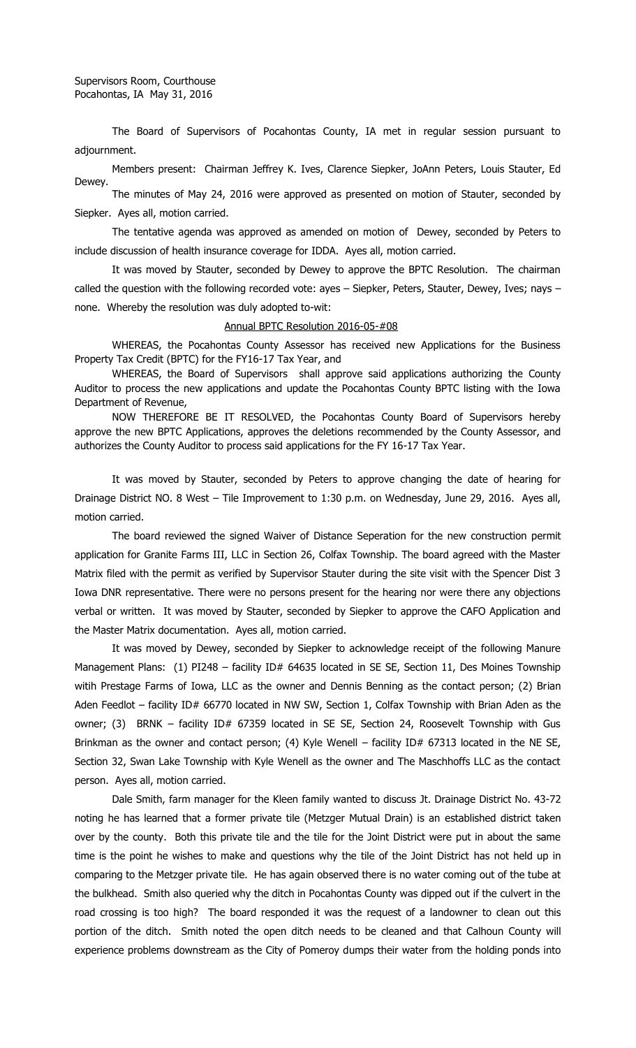Supervisors Room, Courthouse Pocahontas, IA May 31, 2016

The Board of Supervisors of Pocahontas County, IA met in regular session pursuant to adjournment.

Members present: Chairman Jeffrey K. Ives, Clarence Siepker, JoAnn Peters, Louis Stauter, Ed Dewey.

The minutes of May 24, 2016 were approved as presented on motion of Stauter, seconded by Siepker. Ayes all, motion carried.

The tentative agenda was approved as amended on motion of Dewey, seconded by Peters to include discussion of health insurance coverage for IDDA. Ayes all, motion carried.

It was moved by Stauter, seconded by Dewey to approve the BPTC Resolution. The chairman called the question with the following recorded vote: ayes - Siepker, Peters, Stauter, Dewey, Ives; nays none. Whereby the resolution was duly adopted to-wit:

## Annual BPTC Resolution 2016-05-#08

WHEREAS, the Pocahontas County Assessor has received new Applications for the Business Property Tax Credit (BPTC) for the FY16-17 Tax Year, and

WHEREAS, the Board of Supervisors shall approve said applications authorizing the County Auditor to process the new applications and update the Pocahontas County BPTC listing with the Iowa Department of Revenue,

NOW THEREFORE BE IT RESOLVED, the Pocahontas County Board of Supervisors hereby approve the new BPTC Applications, approves the deletions recommended by the County Assessor, and authorizes the County Auditor to process said applications for the FY 16-17 Tax Year.

It was moved by Stauter, seconded by Peters to approve changing the date of hearing for Drainage District NO. 8 West – Tile Improvement to 1:30 p.m. on Wednesday, June 29, 2016. Ayes all, motion carried.

The board reviewed the signed Waiver of Distance Seperation for the new construction permit application for Granite Farms III, LLC in Section 26, Colfax Township. The board agreed with the Master Matrix filed with the permit as verified by Supervisor Stauter during the site visit with the Spencer Dist 3 Iowa DNR representative. There were no persons present for the hearing nor were there any objections verbal or written. It was moved by Stauter, seconded by Siepker to approve the CAFO Application and the Master Matrix documentation. Ayes all, motion carried.

It was moved by Dewey, seconded by Siepker to acknowledge receipt of the following Manure Management Plans: (1) PI248 - facility ID# 64635 located in SE SE, Section 11, Des Moines Township witih Prestage Farms of Iowa, LLC as the owner and Dennis Benning as the contact person; (2) Brian Aden Feedlot – facility ID# 66770 located in NW SW, Section 1, Colfax Township with Brian Aden as the owner; (3) BRNK - facility ID# 67359 located in SE SE, Section 24, Roosevelt Township with Gus Brinkman as the owner and contact person; (4) Kyle Wenell – facility ID# 67313 located in the NE SE, Section 32, Swan Lake Township with Kyle Wenell as the owner and The Maschhoffs LLC as the contact person. Ayes all, motion carried.

Dale Smith, farm manager for the Kleen family wanted to discuss Jt. Drainage District No. 43-72 noting he has learned that a former private tile (Metzger Mutual Drain) is an established district taken over by the county. Both this private tile and the tile for the Joint District were put in about the same time is the point he wishes to make and questions why the tile of the Joint District has not held up in comparing to the Metzger private tile. He has again observed there is no water coming out of the tube at the bulkhead. Smith also queried why the ditch in Pocahontas County was dipped out if the culvert in the road crossing is too high? The board responded it was the request of a landowner to clean out this portion of the ditch. Smith noted the open ditch needs to be cleaned and that Calhoun County will experience problems downstream as the City of Pomeroy dumps their water from the holding ponds into